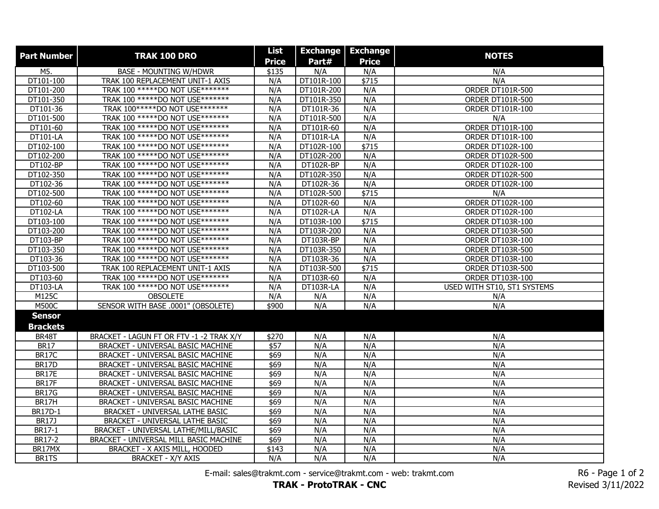| <b>Part Number</b> | <b>TRAK 100 DRO</b>                      | List         | <b>Exchange Exchange</b> |               | <b>NOTES</b>                |
|--------------------|------------------------------------------|--------------|--------------------------|---------------|-----------------------------|
|                    |                                          | <b>Price</b> | Part#<br><b>Price</b>    |               |                             |
| M5.                | <b>BASE - MOUNTING W/HDWR</b>            | \$135        | N/A                      | N/A           | N/A                         |
| DT101-100          | TRAK 100 REPLACEMENT UNIT-1 AXIS         | N/A          | DT101R-100               | \$715         | N/A                         |
| DT101-200          | TRAK 100 ******DO NOT USE********        | N/A          | DT101R-200               | N/A           | ORDER DT101R-500            |
| DT101-350          | TRAK 100 ****** DO NOT USE********       | N/A          | DT101R-350               | N/A           | <b>ORDER DT101R-500</b>     |
| DT101-36           | TRAK 100******DO NOT USE********         | N/A          | DT101R-36                | N/A           | ORDER DT101R-100            |
| DT101-500          | TRAK 100 ****** DO NOT USE********       | N/A          | DT101R-500               | N/A           | N/A                         |
| DT101-60           | TRAK 100 ******DO NOT USE********        | N/A          | DT101R-60                | N/A           | ORDER DT101R-100            |
| DT101-LA           | TRAK 100 ****** DO NOT USE********       | N/A          | DT101R-LA                | N/A           | <b>ORDER DT101R-100</b>     |
| DT102-100          | TRAK 100 ******DO NOT USE********        | N/A          | DT102R-100               | $\sqrt{$715}$ | ORDER DT102R-100            |
| DT102-200          | TRAK 100 ******DO NOT USE********        | N/A          | DT102R-200               | N/A           | ORDER DT102R-500            |
| DT102-BP           | TRAK 100 ****** DO NOT USE*******        | N/A          | DT102R-BP                | N/A           | ORDER DT102R-100            |
| DT102-350          | TRAK 100 ****** DO NOT USE*******        | N/A          | DT102R-350               | N/A           | ORDER DT102R-500            |
| DT102-36           | TRAK 100 ****** DO NOT USE********       | N/A          | DT102R-36                | N/A           | ORDER DT102R-100            |
| DT102-500          | TRAK 100 ******DO NOT USE********        | N/A          | DT102R-500               | \$715         | N/A                         |
| DT102-60           | TRAK 100 ****** DO NOT USE*******        | N/A          | DT102R-60                | N/A           | ORDER DT102R-100            |
| DT102-LA           | TRAK 100 ****** DO NOT USE********       | N/A          | DT102R-LA                | N/A           | ORDER DT102R-100            |
| DT103-100          | TRAK 100 ****** DO NOT USE********       | N/A          | DT103R-100               | \$715         | ORDER DT103R-100            |
| DT103-200          | TRAK 100 ******DO NOT USE********        | N/A          | DT103R-200               | N/A           | ORDER DT103R-500            |
| DT103-BP           | TRAK 100 ******DO NOT USE********        | N/A          | DT103R-BP                | N/A           | ORDER DT103R-100            |
| DT103-350          | TRAK 100 ****** DO NOT USE********       | N/A          | DT103R-350               | N/A           | ORDER DT103R-500            |
| DT103-36           | TRAK 100 ******DO NOT USE********        | N/A          | DT103R-36                | N/A           | <b>ORDER DT103R-100</b>     |
| DT103-500          | TRAK 100 REPLACEMENT UNIT-1 AXIS         | N/A          | DT103R-500               | \$715         | <b>ORDER DT103R-500</b>     |
| DT103-60           | TRAK 100 ******DO NOT USE********        | N/A          | DT103R-60                | N/A           | ORDER DT103R-100            |
| DT103-LA           | TRAK 100 ****** DO NOT USE********       | N/A          | DT103R-LA                | N/A           | USED WITH ST10, ST1 SYSTEMS |
| M125C              | <b>OBSOLETE</b>                          | N/A          | N/A                      | N/A           | N/A                         |
| <b>M500C</b>       | SENSOR WITH BASE .0001" (OBSOLETE)       | \$900        | N/A                      | N/A           | N/A                         |
| <b>Sensor</b>      |                                          |              |                          |               |                             |
| <b>Brackets</b>    |                                          |              |                          |               |                             |
| BR48T              | BRACKET - LAGUN FT OR FTV -1 -2 TRAK X/Y | \$270        | N/A                      | N/A           | N/A                         |
| <b>BR17</b>        | <b>BRACKET - UNIVERSAL BASIC MACHINE</b> | \$57         | N/A                      | N/A           | N/A                         |
| BR17C              | <b>BRACKET - UNIVERSAL BASIC MACHINE</b> | \$69         | N/A                      | N/A           | N/A                         |
| <b>BR17D</b>       | BRACKET - UNIVERSAL BASIC MACHINE        | \$69         | N/A                      | N/A           | N/A                         |
| BR17E              | <b>BRACKET - UNIVERSAL BASIC MACHINE</b> | \$69         | N/A                      | N/A           | N/A                         |
| BR17F              | BRACKET - UNIVERSAL BASIC MACHINE        | \$69         | N/A                      | N/A           | N/A                         |
| <b>BR17G</b>       | BRACKET - UNIVERSAL BASIC MACHINE        | \$69         | N/A                      | N/A           | N/A                         |
| BR17H              | BRACKET - UNIVERSAL BASIC MACHINE        | \$69         | N/A                      | N/A           | N/A                         |
| <b>BR17D-1</b>     | <b>BRACKET - UNIVERSAL LATHE BASIC</b>   | \$69         | N/A                      | N/A           | N/A                         |
| <b>BR17J</b>       | <b>BRACKET - UNIVERSAL LATHE BASIC</b>   | \$69         | N/A                      | N/A           | N/A                         |
| BR17-1             | BRACKET - UNIVERSAL LATHE/MILL/BASIC     | \$69         | N/A                      | N/A           | N/A                         |
| <b>BR17-2</b>      | BRACKET - UNIVERSAL MILL BASIC MACHINE   | \$69         | N/A                      | N/A           | N/A                         |
| BR17MX             | BRACKET - X AXIS MILL, HOODED            | \$143        | N/A                      | N/A           | N/A                         |
| BR1TS              | <b>BRACKET - X/Y AXIS</b>                | N/A          | N/A                      | N/A           | N/A                         |

E-mail: sales@trakmt.com - service@trakmt.com - web: trakmt.com